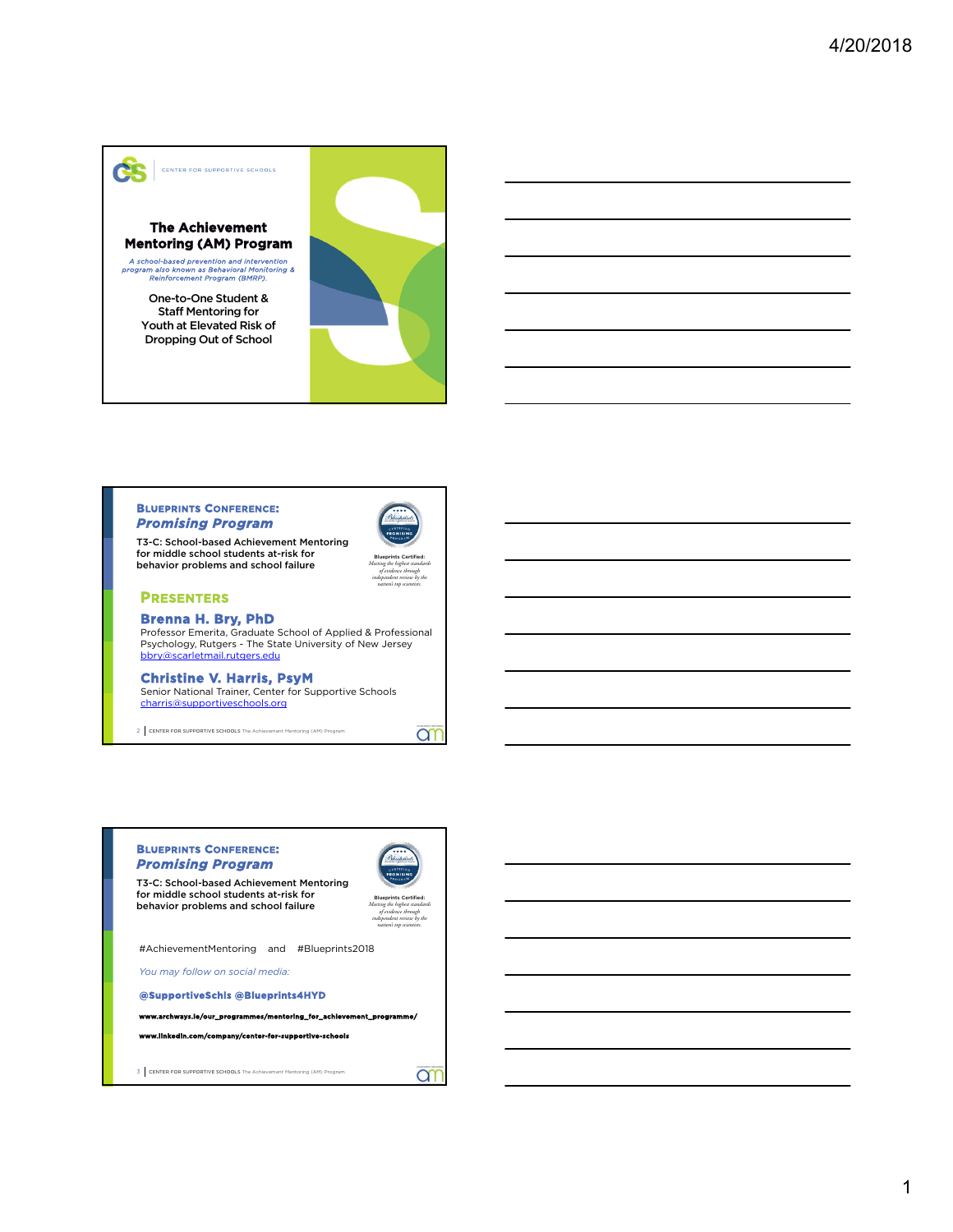

# **Mentoring (AM) Program**

*A school-based prevention and intervention program also known as Behavioral Monitoring & Reinforcement Program (BMRP).*

Staff Mentoring for Youth at Elevated Risk of Dropping Out of School



#### **BLUEPRINTS CONFERENCE:**  *Promising Program*



*Meeting the highest standards of evidence through independent review by the nation's top scientists.*

**an** 

T3-C: School-based Achievement Mentoring for middle school students at-risk for behavior problems and school failure

#### **PRESENTERS**

**Brenna H. Bry, PhD** 

Professor Emerita, Graduate School of Applied & Professional Psychology, Rutgers - The State University of New Jersey bbry@scarletmail.rutgers.edu

#### **Christine V. Harris, PsyM**

Senior National Trainer, Center for Supportive Schools charris@supportiveschools.org

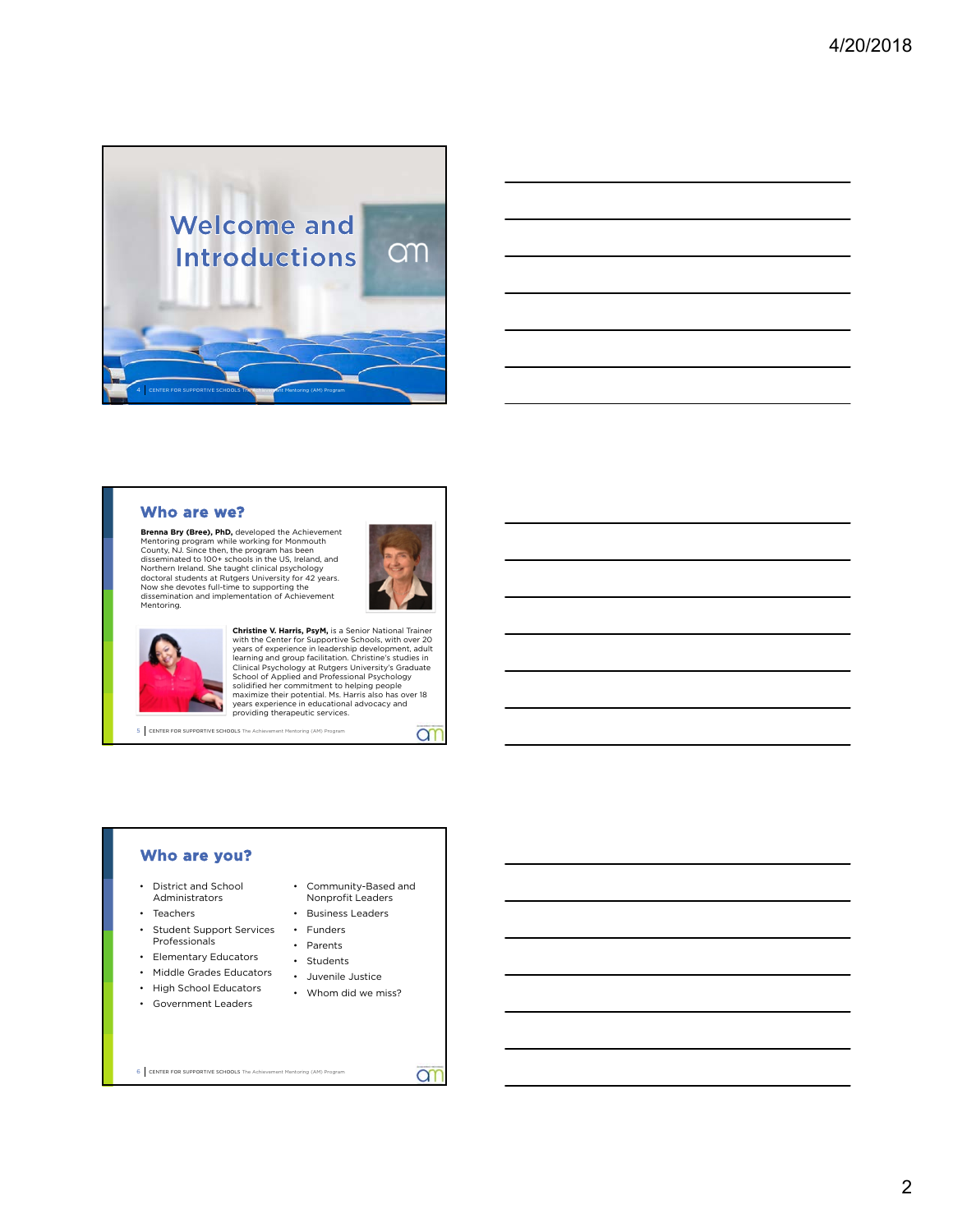

### **Who are we?**

**Brenna Bry (Bree), PhD,** developed the Achievement Mentoring program while working for Monnouth<br>County, N.J. Since then, the program has been<br>disseminated to 100+ schools in the US, Ireland, and<br>Northern Ireland. She taught clinical psychology<br>doctoral students at Rutgers Mentoring.



ar



**Christine V. Harris, PsyM**, is a Senior National Trainer<br>with the Center for Supportive Schools, with over 20<br>years of experience in leadership development, adult<br>learning and group facilitation. Christine's studies in<br>Cl providing therapeutic services.

5 CENTER FOR SUPPORTIVE SCHOOLS The Achievement Mentoring (AM) Program

#### **Who are you?**

- District and School Administrators
- Teachers
- Student Support Services Professionals
- Elementary Educators
- Middle Grades Educators
- High School Educators
- 
- Government Leaders
- Community-Based and Nonprofit Leaders
- Business Leaders
- Funders
- Parents
- Students
- Juvenile Justice
- Whom did we miss?
- 6 CENTER FOR SUPPORTIVE SCHOOLS The Achievement Mentoring (AM) Program
- ar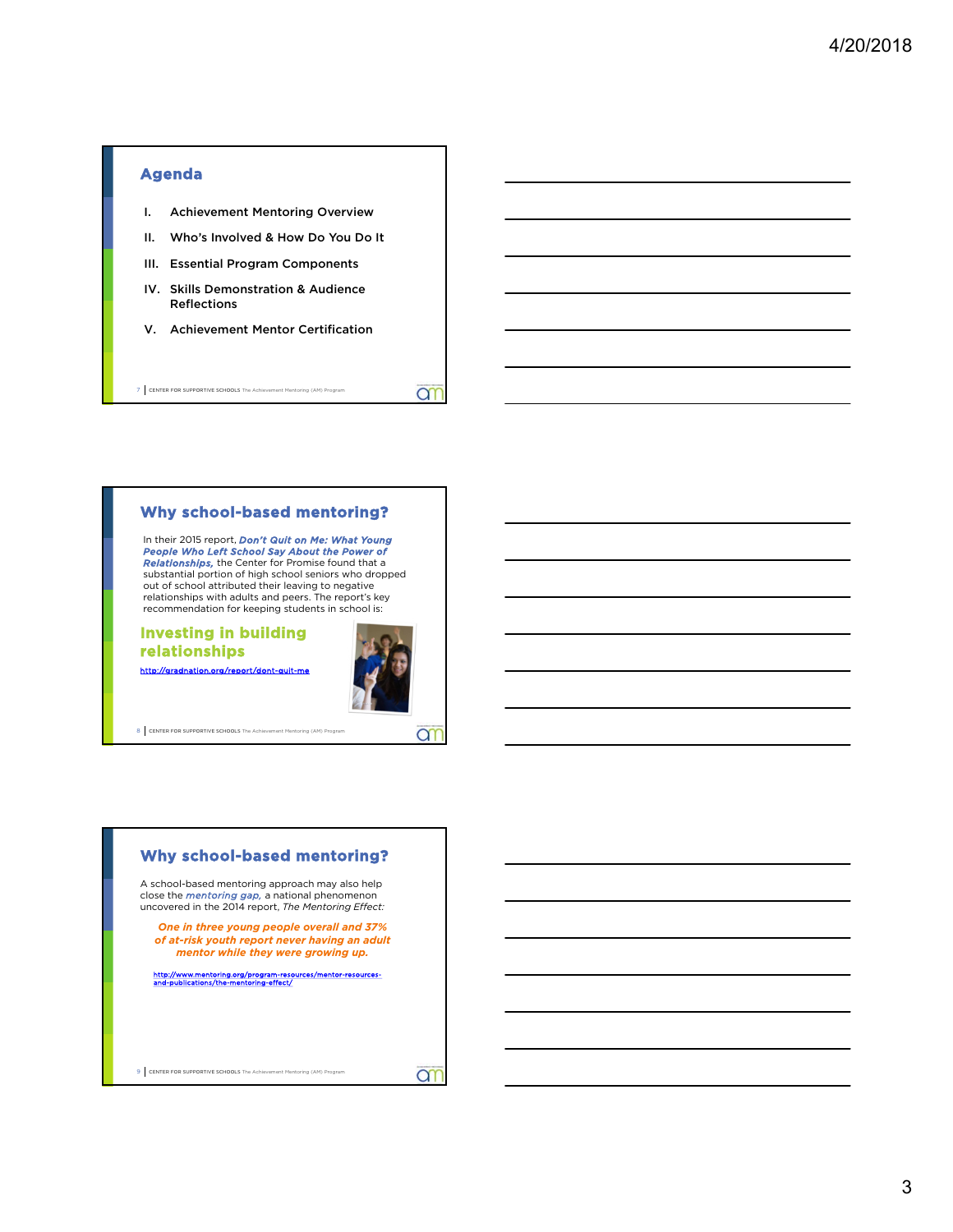

#### **Why school-based mentoring?**

In their 2015 report, *Don't Quit on Me: What Young<br>People Who Left School Say About the Power of<br>Relationships, the Center for Promise found that a<br>substantial portion of bigh school senigrs who dropp* substantial portion of high school seniors who dropped out of school attributed their leaving to negative relationships with adults and peers. The report's key recommendation for keeping students in school is:

#### **Investing in building relationships**



**an** 

http://gradnation.org/n

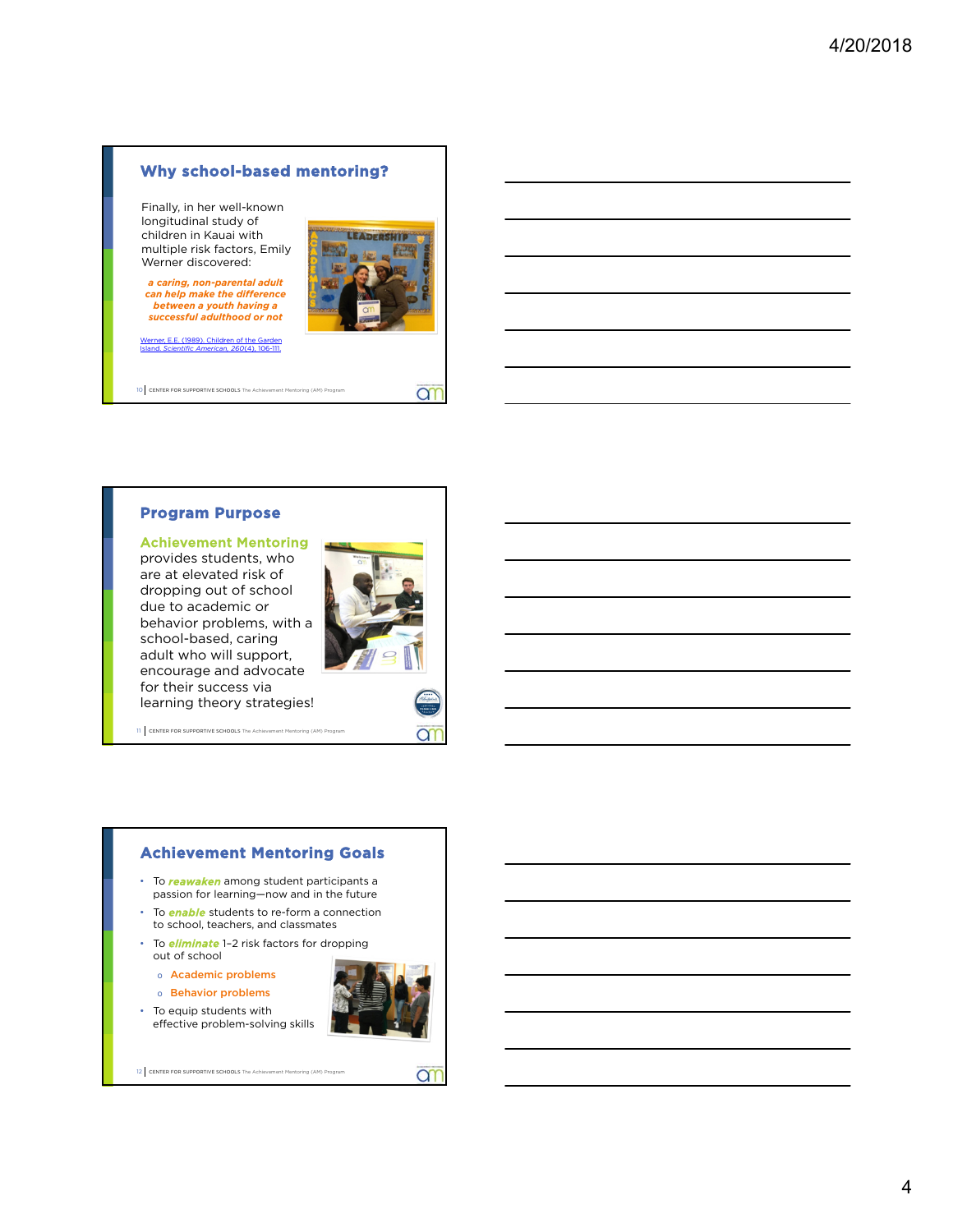#### **Why school-based mentoring?**

Finally, in her well-known longitudinal study of children in Kauai with multiple risk factors, Emily Werner discovered:

*a caring, non-parental adult can help make the difference between a youth having a successful adulthood or not*

(1989). Children of the Island. *Scientific American, 260*(4), 106-111.



**ar** 

10 CENTER FOR SUPPORTIVE SCHOOLS The Achi

#### **Program Purpose**

#### Achievement Mentoring

provides students, who are at elevated risk of dropping out of school due to academic or behavior problems, with a school-based, caring adult who will support, encourage and advocate for their success via learning theory strategies!



11 CENTER FOR SUPPORTIVE SCHOOLS The Achievement Mentoring (AM) Program

### **Achievement Mentoring Goals**

- To *reawaken* among student participants a passion for learning—now and in the future
- To *enable* students to re-form a connection to school, teachers, and classmates
- To *eliminate* 1–2 risk factors for dropping out of school
	- o Academic problems
	- o Behavior problems

• To equip students with effective problem-solving skills



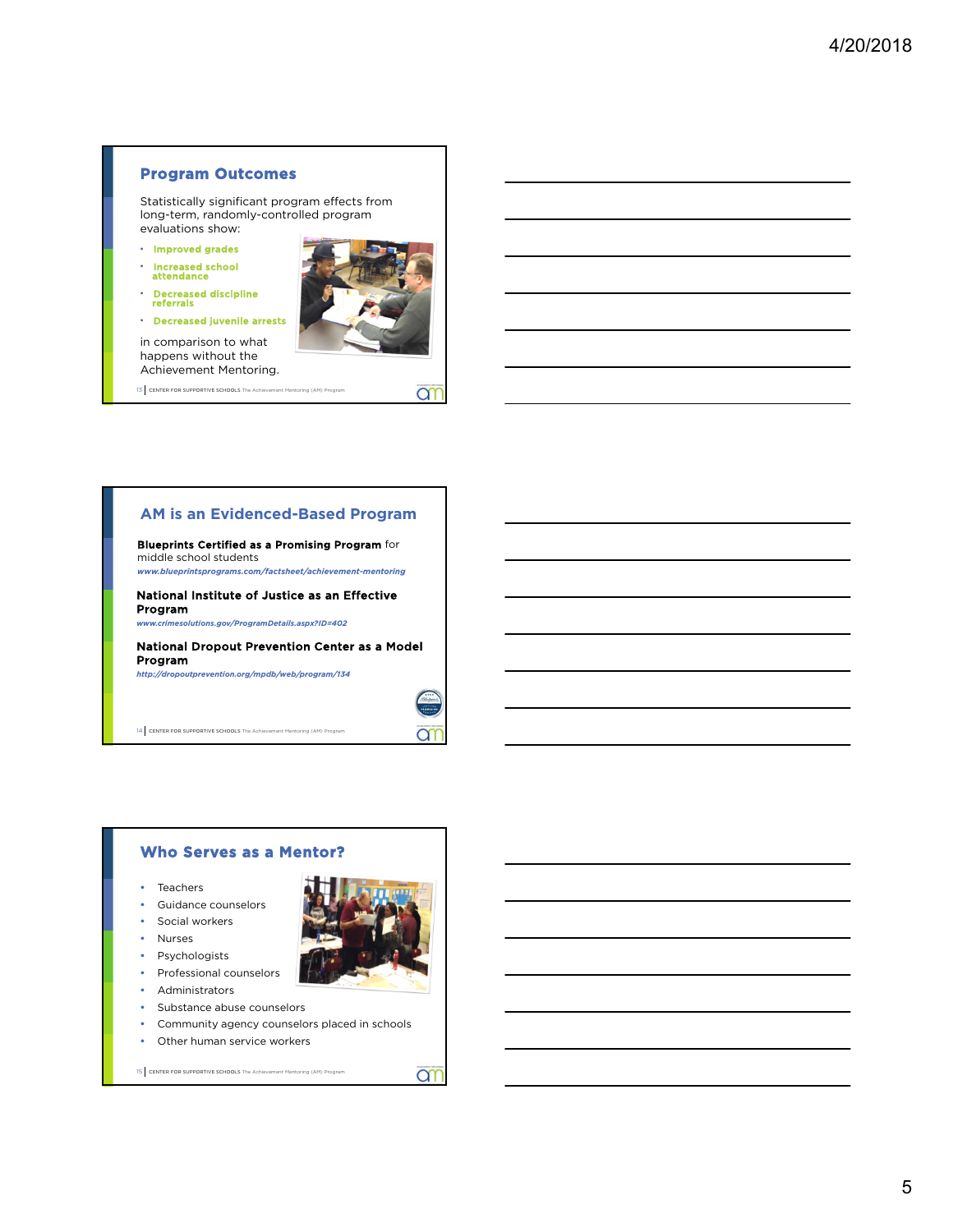#### **Program Outcomes**

Statistically significant program effects from long-term, randomly-controlled program evaluations show:

- Improved grades
- Increased school attendance
- Decreased discipline referrals
- Decreased juvenile arrests



13 CENTER FOR SUPPORTIVE SCHOOLS The Achievement Mentoring (AM) Program

#### **AM is an Evidenced-Based Program**

Blueprints Certified as a Promising Program for middle school students *www.blueprintsprograms.com/factsheet/achievement-mentoring*

National Institute of Justice as an Effective

Program *www.crimesolutions.gov/ProgramDetails.aspx?ID=402*

National Dropout Prevention Center as a Model Program

*http://dropoutprevention.org/mpdb/web/program/134*

14 CENTER FOR SUPPORTIVE SCHOOLS The Achievement Mentoring (AM) Program



**ar** 

#### **Who Serves as a Mentor?**

- Teachers
- Guidance counselors
- **Social workers**
- Nurses
- Psychologists
- Professional counselors
- Administrators
- Substance abuse counselors
- Community agency counselors placed in schools
- Other human service workers

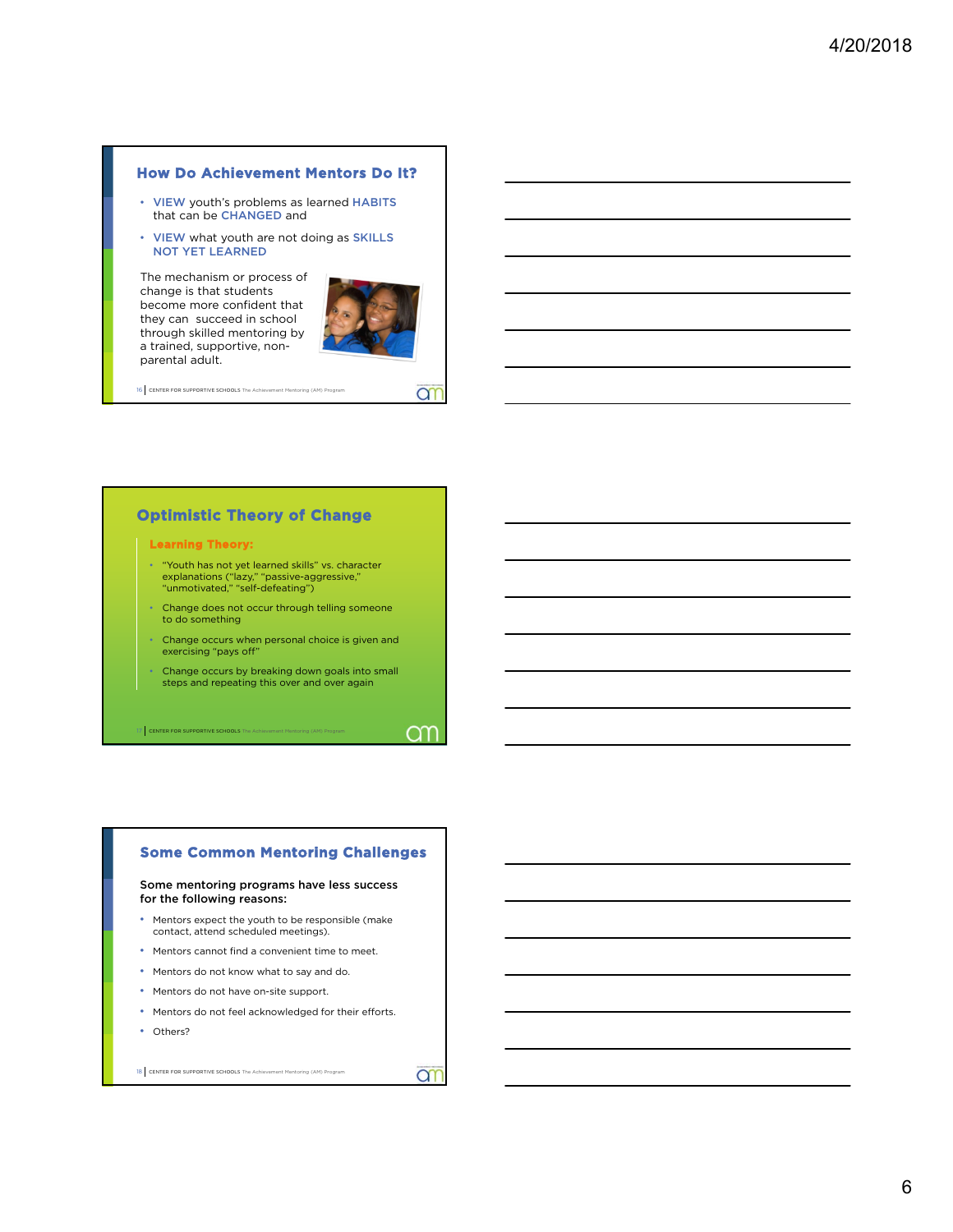#### **How Do Achievement Mentors Do It?**

- VIEW youth's problems as learned HABITS that can be CHANGED and
- VIEW what youth are not doing as SKILLS NOT YET LEARNED

The mechanism or process of change is that students become more confident that they can succeed in school through skilled mentoring by a trained, supportive, nonparental adult.



**a** 

OΥ

16 CENTER FOR SUPPORTIVE SCHOOLS The Achievement Mentoring (AM) P

#### **Optimistic Theory of Change**

#### **Learning Theory:**

- "Youth has not yet learned skills" vs. character explanations ("lazy," "passive-aggressive," "unmotivated," "self-defeating")
- Change does not occur through telling someone to do something
- Change occurs when personal choice is given and exercising "pays off"
- Change occurs by breaking down goals into small steps and repeating this over and over again

CENTER FOR SUPPORTIVE SC

## **Some Common Mentoring Challenges**

#### Some mentoring programs have less success for the following reasons:

- Mentors expect the youth to be responsible (make contact, attend scheduled meetings).
- Mentors cannot find a convenient time to meet.
- Mentors do not know what to say and do.
- Mentors do not have on-site support.
- Mentors do not feel acknowledged for their efforts.
- Others?

18 CENTER FOR SUPPORTIVE SCHOOLS The Achievement Mentoring (AM) Program

ar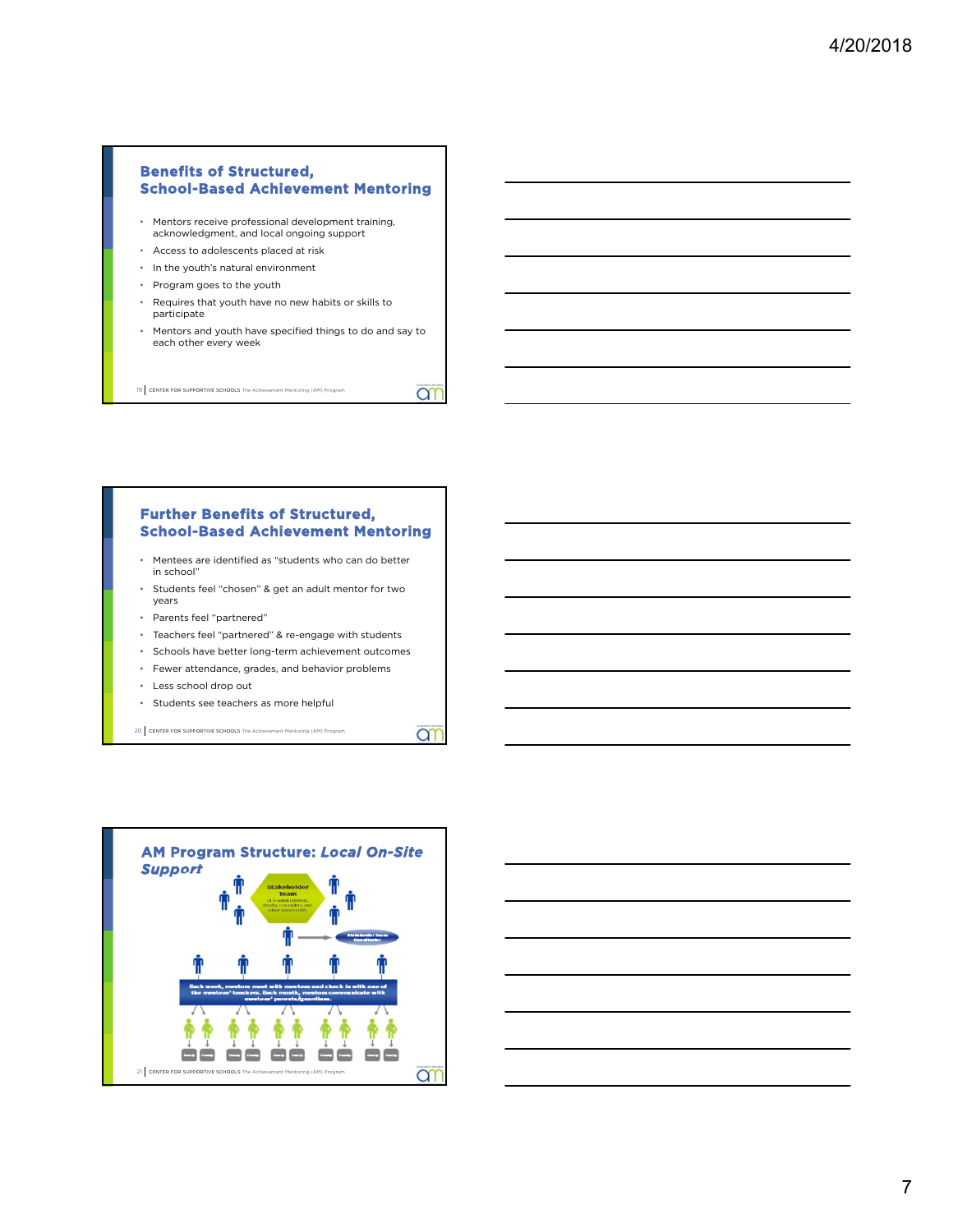#### **Benefits of Structured, School-Based Achievement Mentoring**

- Mentors receive professional development training, acknowledgment, and local ongoing support
- Access to adolescents placed at risk
- In the youth's natural environment
- Program goes to the youth
- Requires that youth have no new habits or skills to participate
- Mentors and youth have specified things to do and say to each other every week

**am** 

**an** 

19 CENTER FOR SUPPORTIVE SCHOOLS The Achievement Mentoring (AM) Program

#### **Further Benefits of Structured, School-Based Achievement Mentoring**

- Mentees are identified as "students who can do better in school"
- Students feel "chosen" & get an adult mentor for two years
- Parents feel "partnered"
- Teachers feel "partnered" & re-engage with students
- Schools have better long-term achievement outcomes
- Fewer attendance, grades, and behavior problems
- Less school drop out
- Students see teachers as more helpful



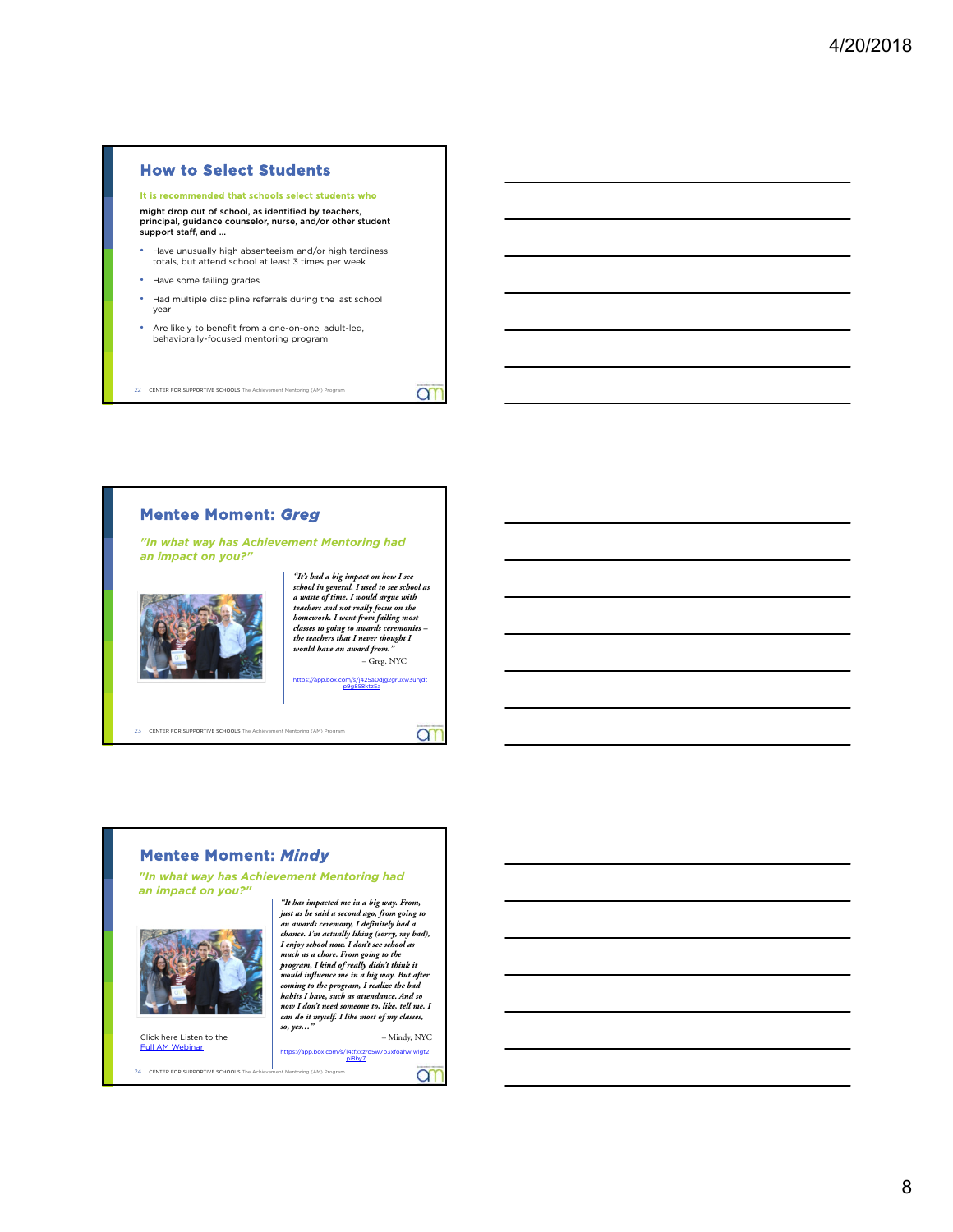#### **How to Select Students**

#### It is recommended that schools select students who

might drop out of school, as identified by teachers, principal, guidance counselor, nurse, and/or other student support staff, and …

- Have unusually high absenteeism and/or high tardiness totals, but attend school at least 3 times per week
- Have some failing grades
- Had multiple discipline referrals during the last school year
- Are likely to benefit from a one-on-one, adult-led, behaviorally-focused mentoring program

22 CENTER FOR SUPPORTIVE SCHOOLS The Achievement Mentoring (AM) Program

#### **Mentee Moment:** *Greg*

*"In what way has Achievement Mentoring had an impact on you?"* 



*"It's had a big impact on how I see school in general. I used to see school as a waste of time. I would argue with teachers and not really focus on the homework. I went from failing most classes to going to awards ceremonies – the teachers that I never thought I would have an award from."*  – Greg, NYC

om

**an** 

https://app.box.com/s/j425a0djg2gruxw3unjdt p9g858ktz5a

23 CENTER FOR SUPPORTIVE SCHOOLS The Achievement Mentoring (AM) Program

#### **Mentee Moment:** *Mindy*

24 CENTER FOR SUPPORTIVE SCHOOLS The Achievement Mentoring (AM) Program

*"In what way has Achievement Mentoring had an impact on you?"* 



Click here Listen to the **Full AM Web** 

*"It has impacted me in a big way. From, just as he said a second ago, from going to an awards ceremony, I definitely had a chance. I'm actually liking (sorry, my bad), I enjoy school now. I don't see school as much as a chore. From going to the program, I kind of really didn't think it would influence me in a big way. But after coming to the program, I realize the bad habits I have, such as attendance. And so now I don't need someone to, like, tell me. I can do it myself. I like most of my classes, so, yes…"* 

– Mindy, NYC https://app.box.com/s/l4tfxxzro5w7b3xfoahwiwlgt2 pi8by7

**a**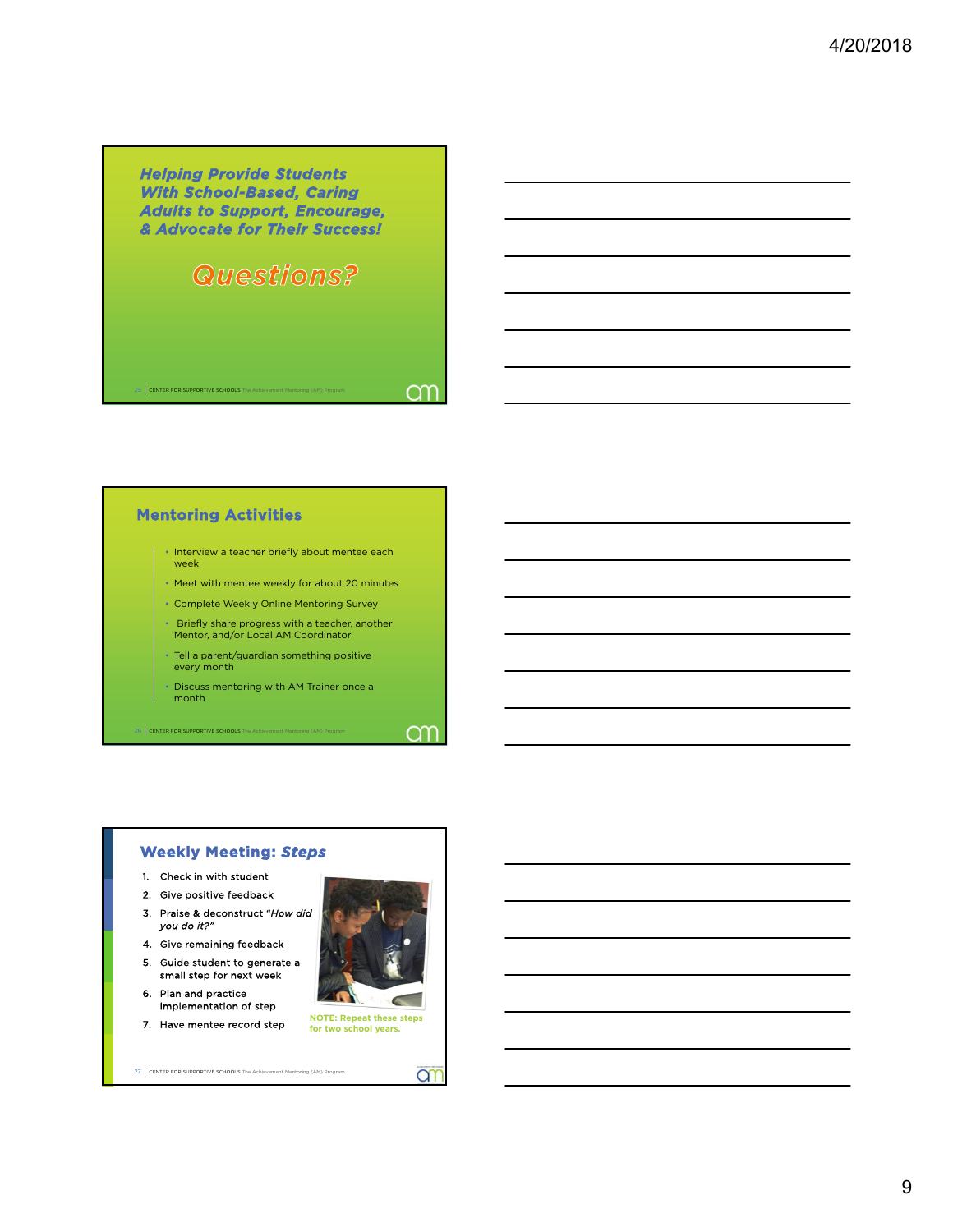*Helping Provide Students With School-Based, Caring Adults to Support, Encourage, & Advocate for Their Success!*

### Questions?

 $25$  CEN

am

ar

#### **Mentoring Activities**

- Interview a teacher briefly about mentee each week
- Meet with mentee weekly for about 20 minutes
- Complete Weekly Online Mentoring Survey
- Briefly share progress with a teacher, another Mentor, and/or Local AM Coordinator
- Tell a parent/guardian something positive every month
- Discuss mentoring with AM Trainer once a month

CENTER FOR SUPPORTIVE SC

#### **Weekly Meeting:** *Steps*

- 1. Check in with student
- 2. Give positive feedback
- 3. Praise & deconstruct "*How did you do it?"*
- 4. Give remaining feedback
- 5. Guide student to generate a small step for next week 6. Plan and practice
- implementation of step



```
27 CENTER FOR SUPPORTIVE SCHOOLS The Achievement Mentoring (AM) Program
```


 $\sim$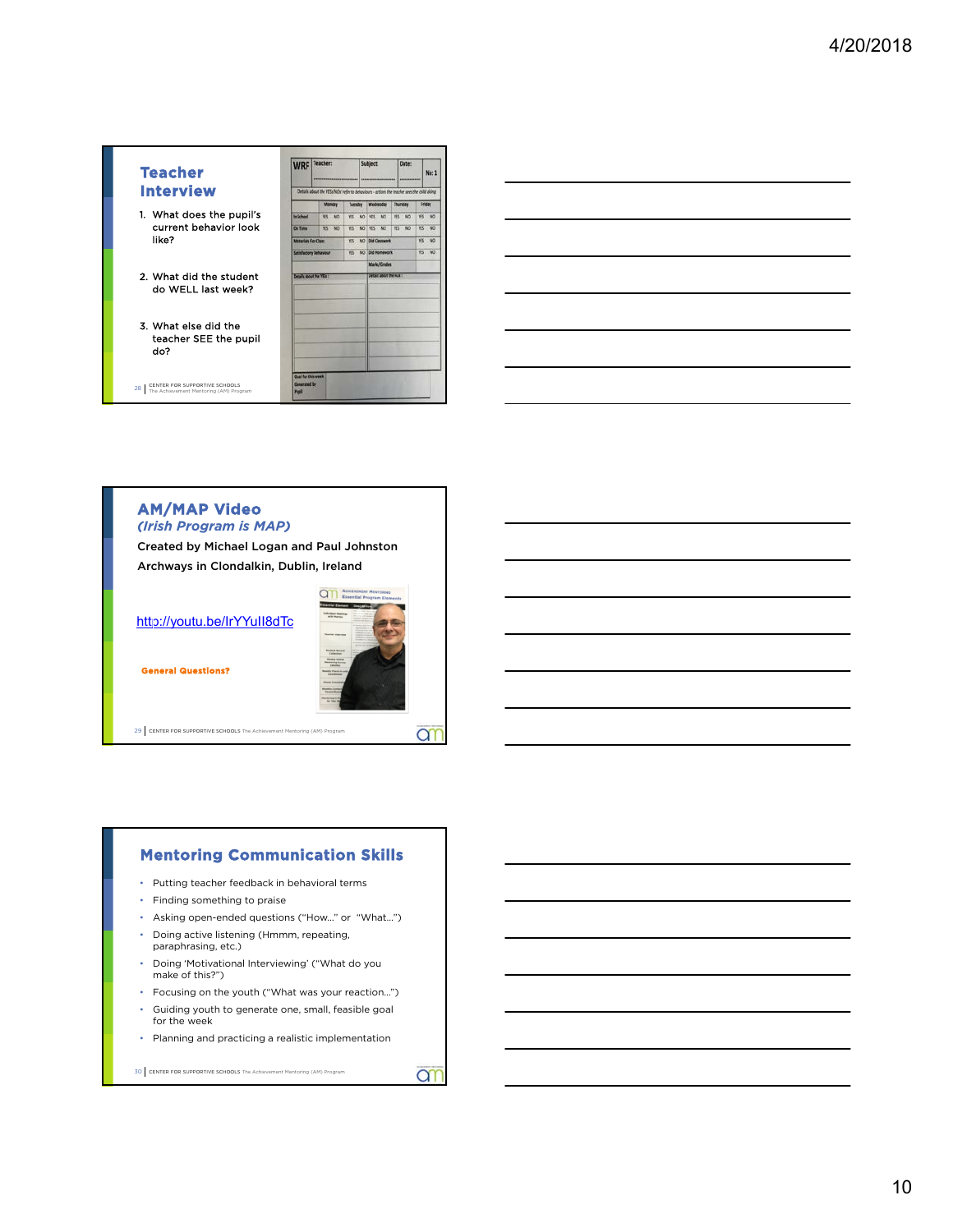### **Teacher Interview** 1. What does the pupil's current behavior look like? 2. What did the student do WELL last week? 3. What else did the

- teacher SEE the pupil do?
- 28 CENTER FOR SUPPORTIVE SCHOOLS<br>The Achievement Mentoring (AM) Program

|                               | WRF Teacher:                                                                               | ---------------- | Subject:                   | Date:                 | No: 1                  |
|-------------------------------|--------------------------------------------------------------------------------------------|------------------|----------------------------|-----------------------|------------------------|
|                               | 'Details about the YESUNOs' refer to behaviours - actions the teacher sees the child doing |                  |                            |                       |                        |
|                               | <b>Monday</b>                                                                              |                  | Tuesday Wednesday Thursday |                       | Sriday                 |
| In School                     | <b>MS</b><br>NO <sub>1</sub>                                                               | YES.             | NO YES<br>M2               | WS<br>NO <sub>1</sub> | YES<br>NO <sub>1</sub> |
| On Time                       | <b>YES NO</b>                                                                              | YES:             | NO YES NO                  | WS<br>NO <sub>1</sub> | YES.<br>NO             |
| <b>Materials For Class</b>    |                                                                                            | YES.             | NO Did Classwork           |                       | NO<br>W5               |
| <b>Satisfactory Behaviour</b> |                                                                                            |                  | VII NO Did Homework        |                       | NO<br>WS.              |
|                               |                                                                                            |                  | Marks/Grades               |                       |                        |
| Details about the YEG :       |                                                                                            |                  | Details about the NOLT     |                       |                        |
|                               |                                                                                            |                  |                            |                       |                        |
|                               |                                                                                            |                  |                            |                       |                        |
|                               |                                                                                            |                  |                            |                       |                        |
|                               |                                                                                            |                  |                            |                       |                        |
|                               |                                                                                            |                  |                            |                       |                        |
|                               |                                                                                            |                  |                            |                       |                        |
|                               |                                                                                            |                  |                            |                       |                        |

|                                                                                                                       |  | <u> 1989 - Johann Stein, mars an deus an deus Amerikaansk kommunister († 1908)</u>                                   |
|-----------------------------------------------------------------------------------------------------------------------|--|----------------------------------------------------------------------------------------------------------------------|
|                                                                                                                       |  | <u> 1989 - Johann Stoff, Amerikaansk politiker (* 1908)</u>                                                          |
|                                                                                                                       |  | <u> 1989 - Andrea Andrew Maria (h. 1989).</u>                                                                        |
|                                                                                                                       |  | <u> 1989 - Johann Barn, amerikan berkemanan bahasa di bahasa di bahasa di bahasa di bahasa di bahasa di bahasa d</u> |
| <u> 1980 - Johann Barn, amerikan besteman besteman besteman besteman besteman besteman besteman besteman besteman</u> |  |                                                                                                                      |
|                                                                                                                       |  |                                                                                                                      |

#### **AM/MAP Video** *(Irish Program is MAP)*

Created by Michael Logan and Paul Johnston Archways in Clondalkin, Dublin, Ireland

http://youtu.be/IrYYuII8dTc



**an** 

ar

**General Questions?**

29 CENTER FOR SUPPORTIVE SCHOOLS The Achievement Mentoring (AM) Program

#### **Mentoring Communication Skills**

- Putting teacher feedback in behavioral terms
- Finding something to praise
- Asking open-ended questions ("How…" or "What…")
- Doing active listening (Hmmm, repeating, paraphrasing, etc.)
- Doing 'Motivational Interviewing' ("What do you make of this?")
- Focusing on the youth ("What was your reaction…")
- Guiding youth to generate one, small, feasible goal for the week
- Planning and practicing a realistic implementation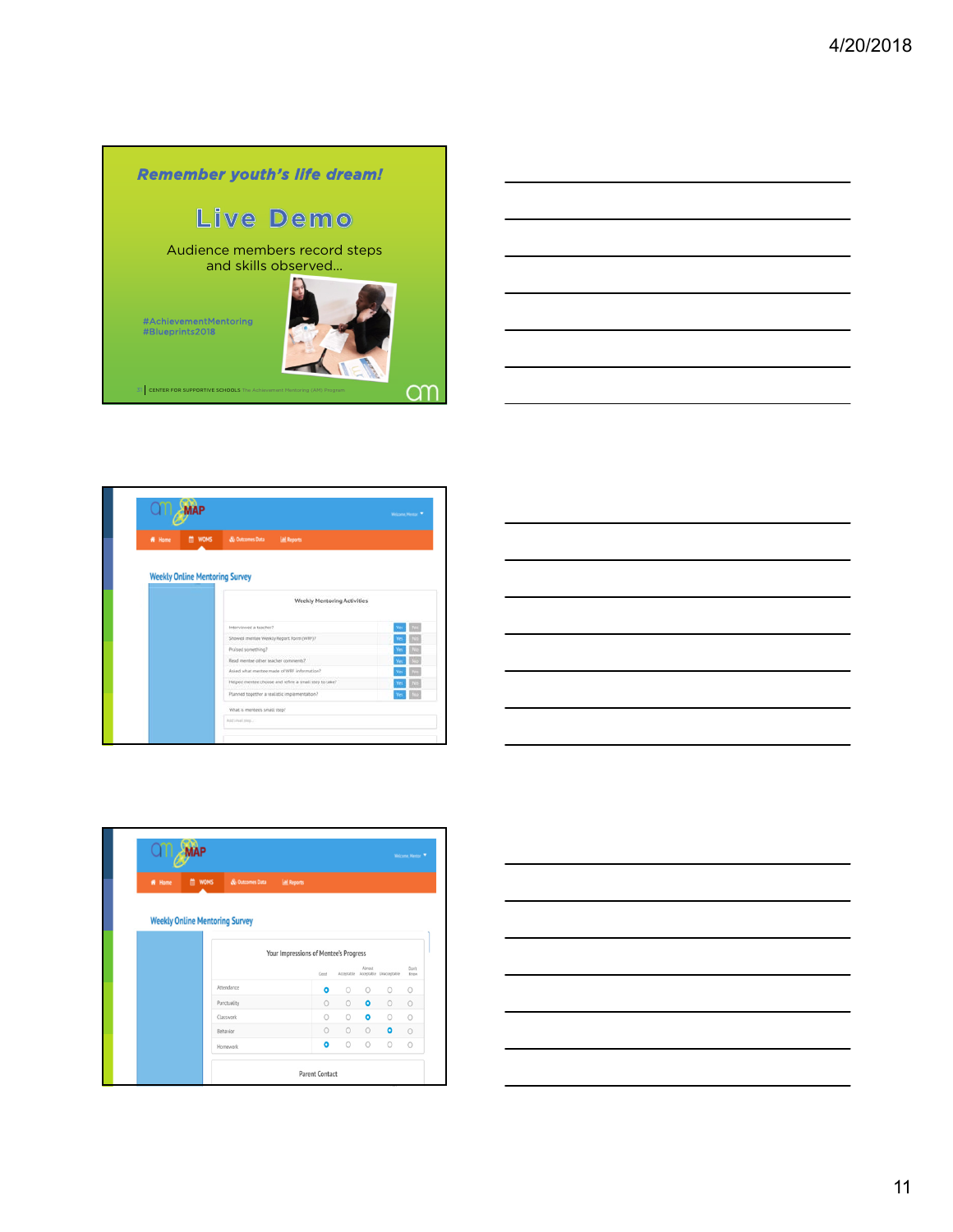



| # Home                                | & Outcomes Data<br><b>M</b> WOMS<br><b>AL Reports</b> |  |
|---------------------------------------|-------------------------------------------------------|--|
| <b>Weekly Online Mentoring Survey</b> |                                                       |  |
|                                       | <b>Weekly Mentoring Activities</b>                    |  |
|                                       | Interviewed a teacher?                                |  |
|                                       | Showed mentee Weekly Report Form (WRF)?               |  |
|                                       | Praised something?                                    |  |
|                                       | Read mentee other teacher comments?                   |  |
|                                       | Asked what mentor made of WRF information?            |  |
|                                       | Helped mentee choose and refine a small step to take? |  |
|                                       | Flanned together a realistic implementation?          |  |
|                                       |                                                       |  |



| # Home | <b>EN WOMS</b>                        | & Outcomes Data                       | <b>All Reports</b> |           |         |           |                                    |               |
|--------|---------------------------------------|---------------------------------------|--------------------|-----------|---------|-----------|------------------------------------|---------------|
|        | <b>Weekly Online Mentoring Survey</b> |                                       |                    |           |         |           |                                    |               |
|        |                                       | Your Impressions of Mentee's Progress |                    |           |         |           |                                    |               |
|        |                                       |                                       | Good               |           |         | Almost    | Acceptable Acceptable Unacceptable | Don't<br>Know |
|        |                                       | Attendance                            |                    | $\bullet$ | $\circ$ | $\circ$   | $\circ$                            | $\circ$       |
|        |                                       | Punctuality                           |                    | $\circ$   | $\circ$ | $\bullet$ | $\circ$                            | $\circ$       |
|        |                                       | Classwork                             |                    | $\circ$   | $\circ$ | $\bullet$ | $\circlearrowright$                | $\circ$       |
|        |                                       | Behavior                              |                    | $\circ$   | $\circ$ | $\circ$   | $\bullet$                          | $\circ$       |
|        |                                       |                                       |                    |           |         |           |                                    |               |

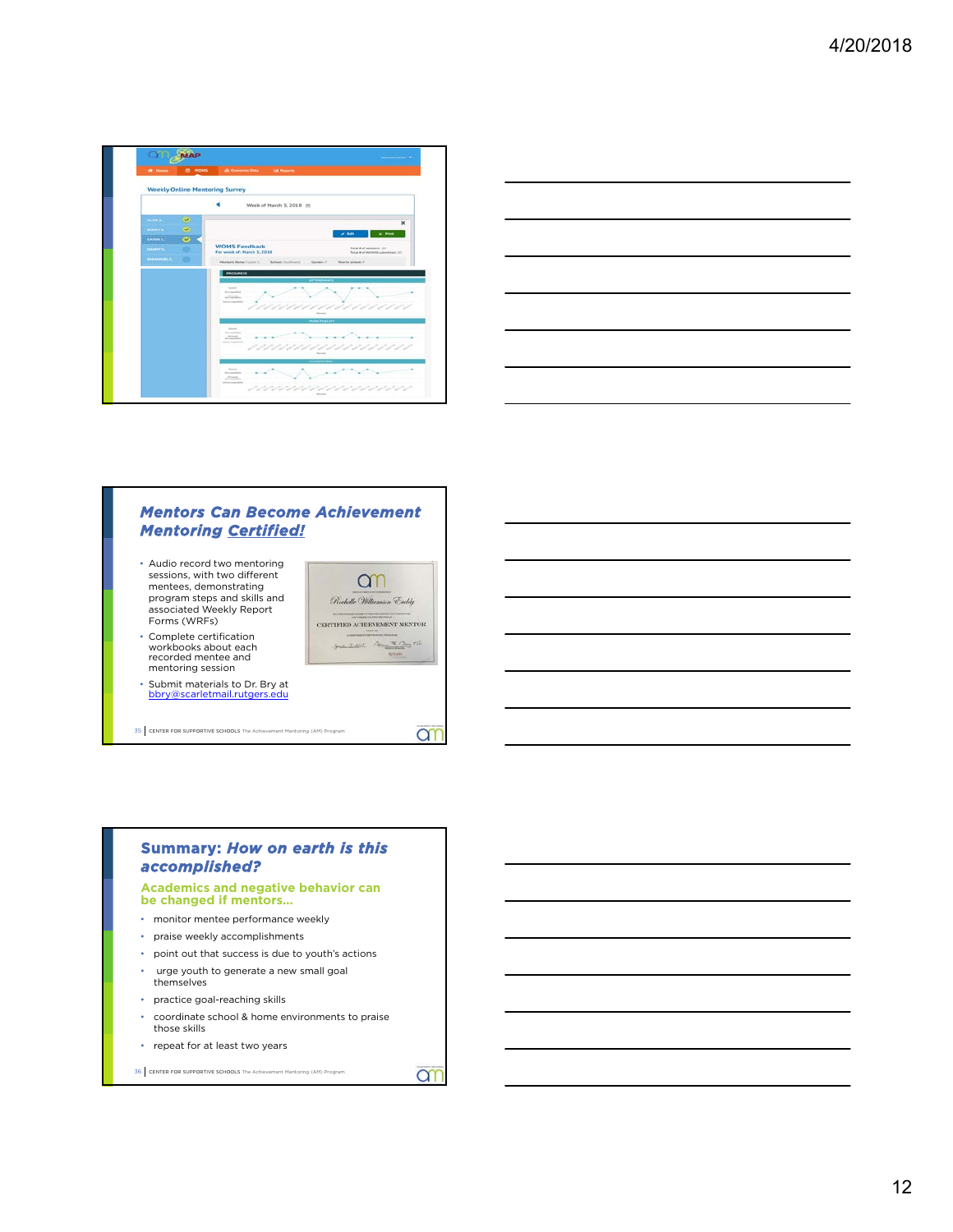

|                                                                                                                       | __ |
|-----------------------------------------------------------------------------------------------------------------------|----|
|                                                                                                                       |    |
|                                                                                                                       |    |
|                                                                                                                       |    |
|                                                                                                                       |    |
|                                                                                                                       |    |
|                                                                                                                       |    |
|                                                                                                                       |    |
|                                                                                                                       |    |
| <u> 1989 - Johann Harry Barn, mars and de Branch and de Branch and de Branch and de Branch and de Branch and de B</u> |    |

#### *Mentors Can Become Achievement Mentoring Certified!*

- Audio record two mentoring sessions, with two different mentees, demonstrating program steps and skills and associated Weekly Report Forms (WRFs)
- Complete certification workbooks about each recorded mentee and mentoring session
- Submit materials to Dr. Bry at bbry@scarletmail.rutgers.edu

35 CENTER FOR SUPPORTIVE SCHOOLS The Achievement Mentoring (AM) Program



**an** 

#### **Summary:** *How on earth is this accomplished?*

### **Academics and negative behavior can be changed if mentors…**

- monitor mentee performance weekly
- praise weekly accomplishments
- point out that success is due to youth's actions
- urge youth to generate a new small goal themselves
- practice goal-reaching skills
- coordinate school & home environments to praise those skills
- repeat for at least two years

```
36 CENTER FOR SUPPORTIVE SCHOOLS The Achievement Mentoring (AM) Program
```
ar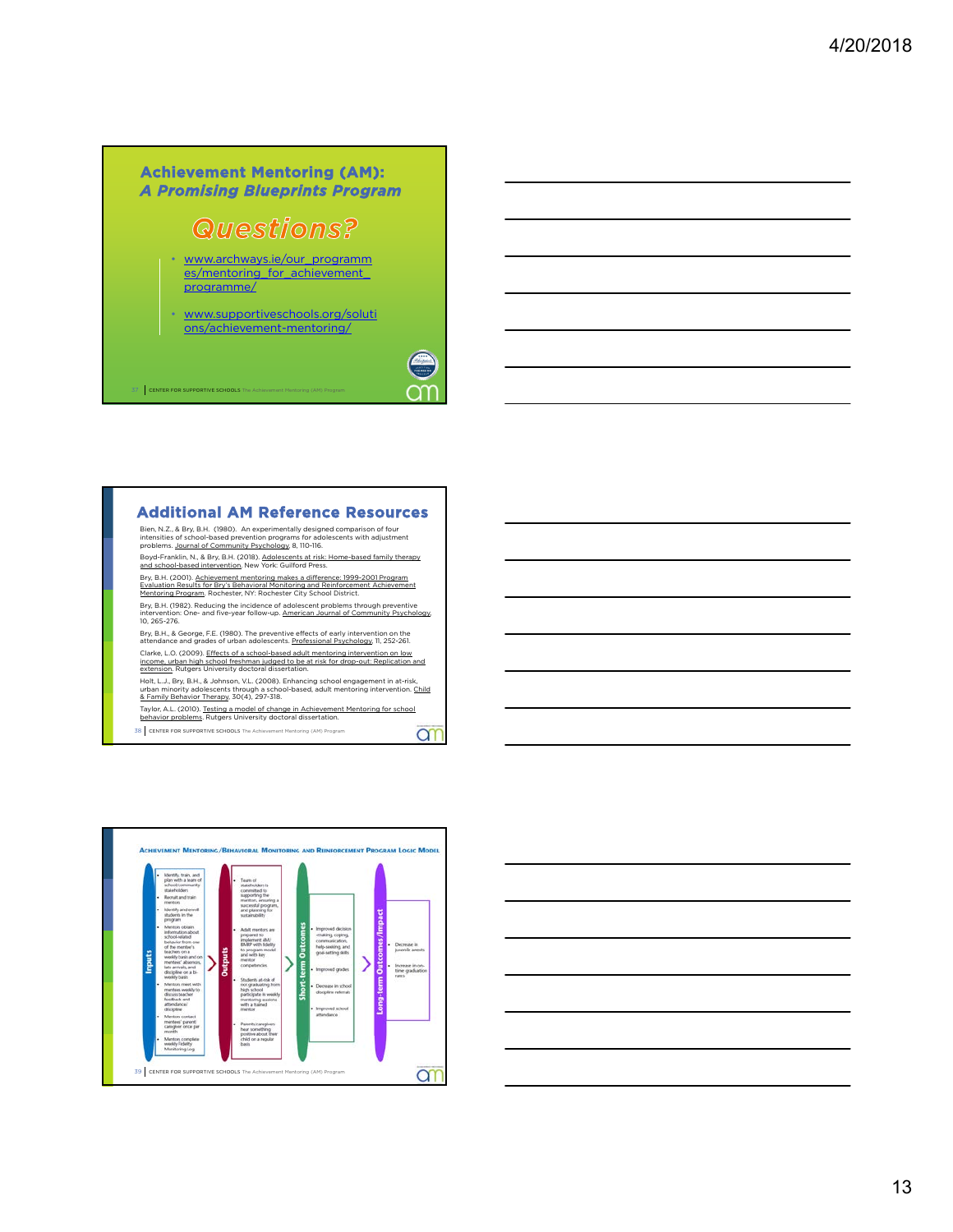#### **Achievement Mentoring (AM):**  *A Promising Blueprints Program*

# **Questions?**

- www.archways.ie/our\_programm es/mentoring\_for\_achievement programme/
- www.supportiveschools.org/soluti ons/achievement-mentoring/

 $\Big\}$  CENTE



#### **Additional AM Reference Resources**

Bien, N.Z., & Bry, B.H. (1980). An experimentally designed comparison of four<br>intensities of school-based prevention programs for adolescents with adjustment<br>problems. <u>Journal of Community Psychology</u> 8, 110-116.

Boyd-Franklin, N., & Bry, B.H. (2018). <u>Adolescents at risk: Home-based family therapy</u><br>and school-based intervention. New York: Guilford Press.<br>Bry, B.H. (2001). Achievement mentoring makes a difference: 1999-2001 Program Evaluation Results for Bry's Behavioral Monitoring and Reinforcement Achievement<br>Mentoring Program. Rochester, NY: Rochester City School District.

Bry, B.H. (1982). Reducing the incidence of adolescent problems through preventive<br>intervention: One- and five-year follow-up. <u>American Journal of Community Psychology</u>,<br>10, 265-276.

Bry, B.H., & George, F.E. (1980). The preventive effects of early intervention on the<br>attendance and grades of urban adolescents. <u>Professional Psychology</u>, 11, 252-261.

Clarke, L.O. (2009). <u>Effects of a school-based adult mentoring intervention on low</u><br>income, <u>urban high school freshman judged to be at risk for drop-out: Replication and</u><br><u>extension</u>. Rutgers University doctoral disserta

Holt, L.J., Bry, B.H., & Johnson, V.L. (2008). Enhancing school engagement in at-risk,<br>urban minority adolescents through a school-based, adult mentoring intervention. <u>Child</u><br>& Family Behavior Therapy, 30(4), 297-318.

Taylor, A.L. (2010). <u>Testing a model of change in Achievement Mentoring for school</u><br>behavior problems. Rutgers University doctoral dissertation. 38 CENTER FOR SUPPORTIVE SCHOOLS The Achievement Mentoring (AM) Program **ar** 



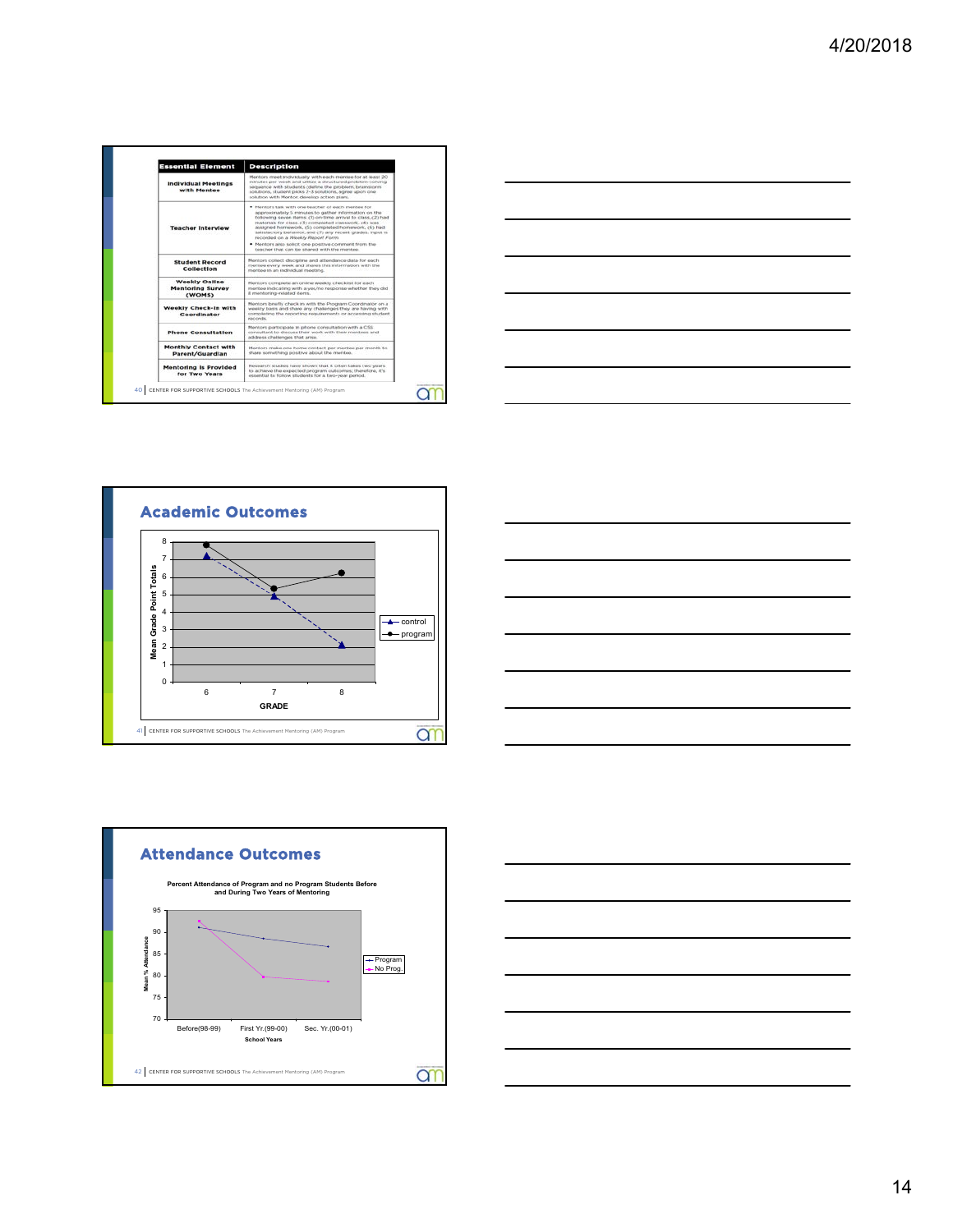









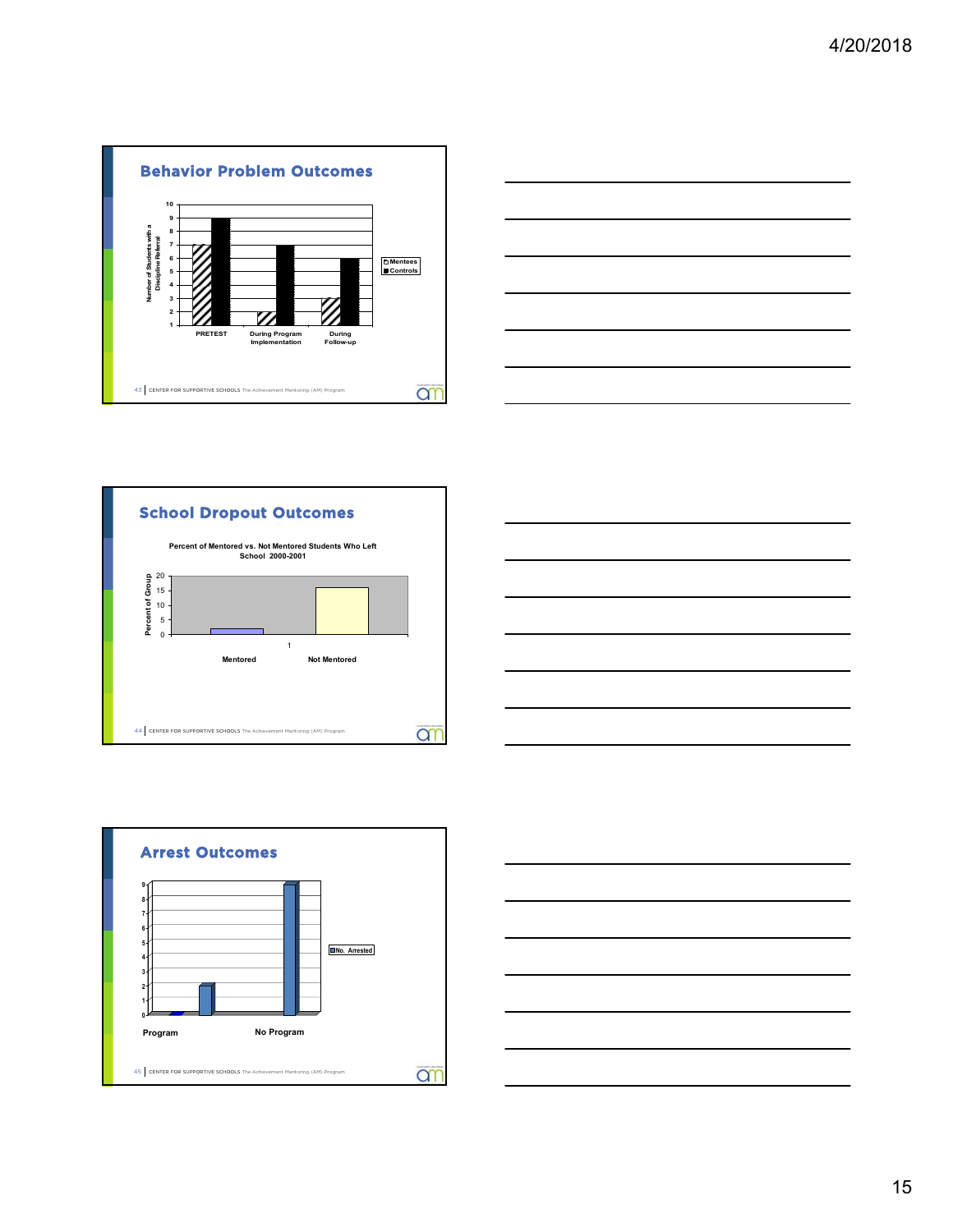